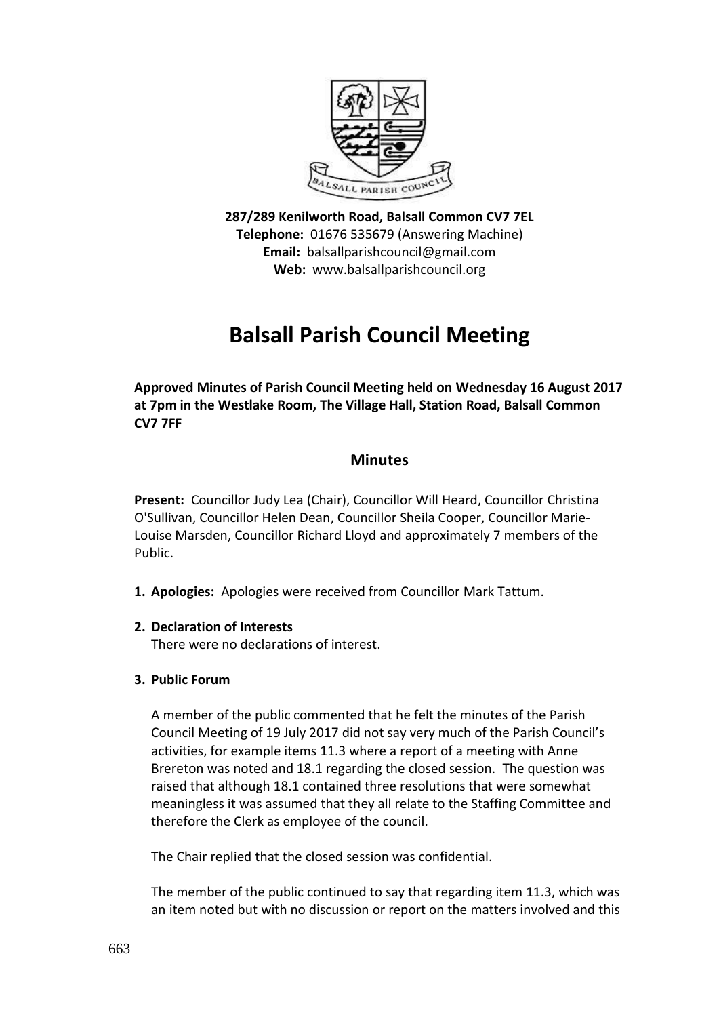

**287/289 Kenilworth Road, Balsall Common CV7 7EL Telephone:** 01676 535679 (Answering Machine) **Email:** balsallparishcouncil@gmail.com **Web:** www.balsallparishcouncil.org

## **Balsall Parish Council Meeting**

**Approved Minutes of Parish Council Meeting held on Wednesday 16 August 2017 at 7pm in the Westlake Room, The Village Hall, Station Road, Balsall Common CV7 7FF**

## **Minutes**

**Present:** Councillor Judy Lea (Chair), Councillor Will Heard, Councillor Christina O'Sullivan, Councillor Helen Dean, Councillor Sheila Cooper, Councillor Marie-Louise Marsden, Councillor Richard Lloyd and approximately 7 members of the Public.

- **1. Apologies:** Apologies were received from Councillor Mark Tattum.
- **2. Declaration of Interests**

There were no declarations of interest.

**3. Public Forum**

A member of the public commented that he felt the minutes of the Parish Council Meeting of 19 July 2017 did not say very much of the Parish Council's activities, for example items 11.3 where a report of a meeting with Anne Brereton was noted and 18.1 regarding the closed session. The question was raised that although 18.1 contained three resolutions that were somewhat meaningless it was assumed that they all relate to the Staffing Committee and therefore the Clerk as employee of the council.

The Chair replied that the closed session was confidential.

The member of the public continued to say that regarding item 11.3, which was an item noted but with no discussion or report on the matters involved and this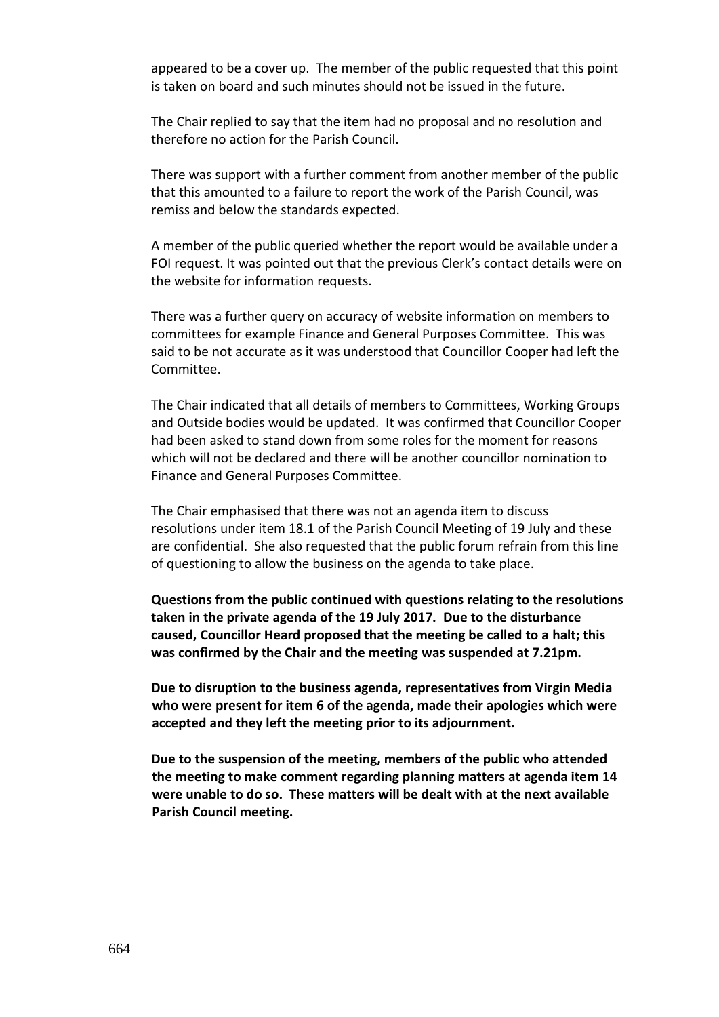appeared to be a cover up. The member of the public requested that this point is taken on board and such minutes should not be issued in the future.

The Chair replied to say that the item had no proposal and no resolution and therefore no action for the Parish Council.

There was support with a further comment from another member of the public that this amounted to a failure to report the work of the Parish Council, was remiss and below the standards expected.

A member of the public queried whether the report would be available under a FOI request. It was pointed out that the previous Clerk's contact details were on the website for information requests.

There was a further query on accuracy of website information on members to committees for example Finance and General Purposes Committee. This was said to be not accurate as it was understood that Councillor Cooper had left the Committee.

The Chair indicated that all details of members to Committees, Working Groups and Outside bodies would be updated. It was confirmed that Councillor Cooper had been asked to stand down from some roles for the moment for reasons which will not be declared and there will be another councillor nomination to Finance and General Purposes Committee.

The Chair emphasised that there was not an agenda item to discuss resolutions under item 18.1 of the Parish Council Meeting of 19 July and these are confidential. She also requested that the public forum refrain from this line of questioning to allow the business on the agenda to take place.

**Questions from the public continued with questions relating to the resolutions taken in the private agenda of the 19 July 2017. Due to the disturbance caused, Councillor Heard proposed that the meeting be called to a halt; this was confirmed by the Chair and the meeting was suspended at 7.21pm.** 

**Due to disruption to the business agenda, representatives from Virgin Media who were present for item 6 of the agenda, made their apologies which were accepted and they left the meeting prior to its adjournment.**

**Due to the suspension of the meeting, members of the public who attended the meeting to make comment regarding planning matters at agenda item 14 were unable to do so. These matters will be dealt with at the next available Parish Council meeting.**